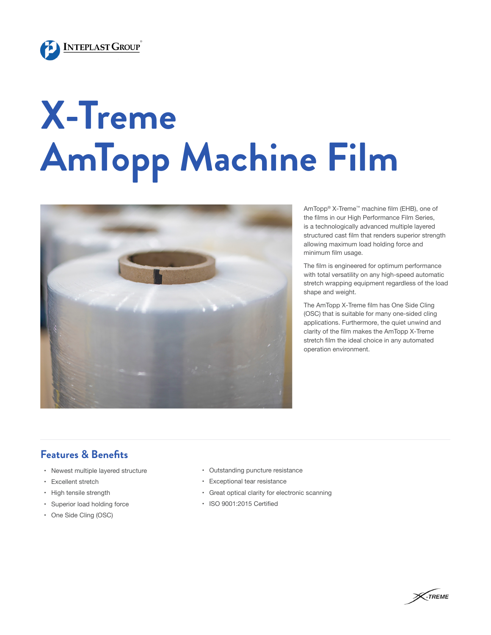

## **X-Treme AmTopp Machine Film**



AmTopp® X-Treme™ machine film (EHB), one of the films in our High Performance Film Series, is a technologically advanced multiple layered structured cast film that renders superior strength allowing maximum load holding force and minimum film usage.

The film is engineered for optimum performance with total versatility on any high-speed automatic stretch wrapping equipment regardless of the load shape and weight.

The AmTopp X-Treme film has One Side Cling (OSC) that is suitable for many one-sided cling applications. Furthermore, the quiet unwind and clarity of the film makes the AmTopp X-Treme stretch film the ideal choice in any automated operation environment.

## **Features & Benefits**

- Newest multiple layered structure
- Excellent stretch
- High tensile strength
- Superior load holding force
- One Side Cling (OSC)
- Outstanding puncture resistance
- Exceptional tear resistance
- Great optical clarity for electronic scanning
- ISO 9001:2015 Certified